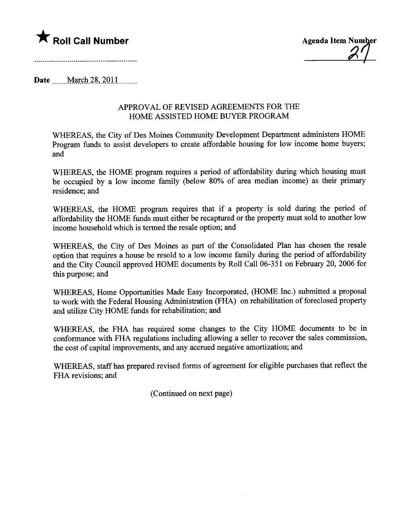

 $\mathcal{Z}$ 

Date \_\_\_\_\_ March 28, 2011

## APPROVAL OF REVISED AGREEMENTS FOR THE HOME ASSISTED HOME BUYER PROGRAM

WHEREAS, the City of Des Moines Communty Development Deparment administers HOME Program fuds to assist developers to create affordable housing for low income home buyers; and

WHEREAS, the HOME program requires a period of affordability during which housing must be occupied by a low income family (below 80% of area median income) as their primar residence; and

WHEREAS, the HOME program requires that if a property is sold during the period of affordability the HOME fuds must either be recaptued or the property must sold to another low income household which is termed the resale option; and

WHEREAS, the City of Des Moines as part of the Consolidated Plan has chosen the resale option that requires a house be resold to a low income family during the period of affordability and the City Council approved HOME documents by Roll Call 06-351 on February 20, 2006 for this purose; and

WHEREAS, Home Opportunities Made Easy Incorporated, (HOME Inc.) submitted a proposal to work with the Federal Housing Administration (FHA) on rehabilitation of foreclosed property and utilze City HOME funds for rehabilitation; and

WHEREAS, the FHA has required some changes to the City HOME documents to be in conformance with FHA regulations including allowing a seller to recover the sales commission, the cost of capital improvements, and any accrued negative amortization; and

WHEREAS, staff has prepared revised forms of agreement for eligible purchases that reflect the FHA revisions; and

(Continued on next page)